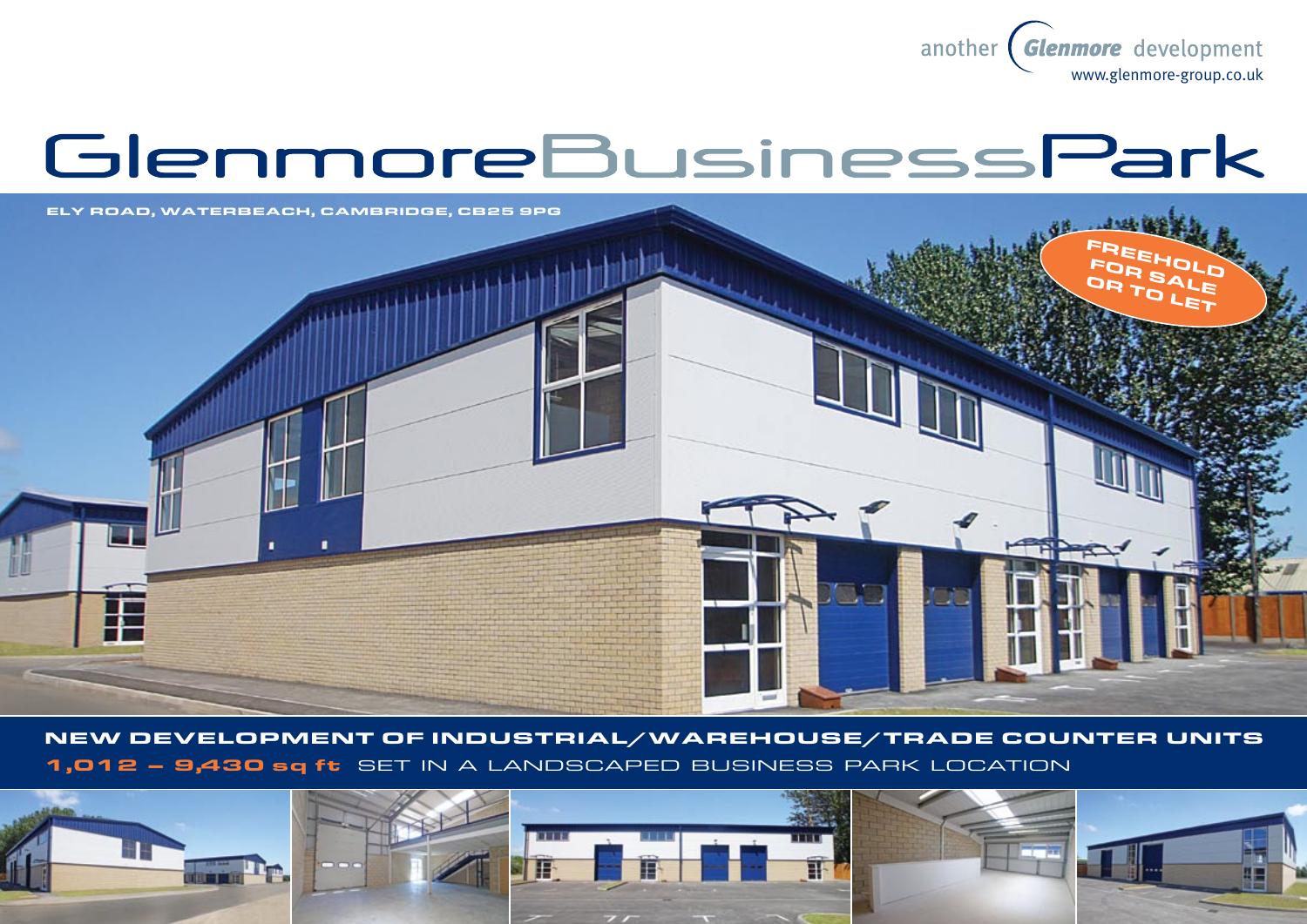

# GlenmoreBusinessPark



New development of industrial/warehouse/Trade counter units 1,012 – 9,430 sq ft set in a landscaped business park location